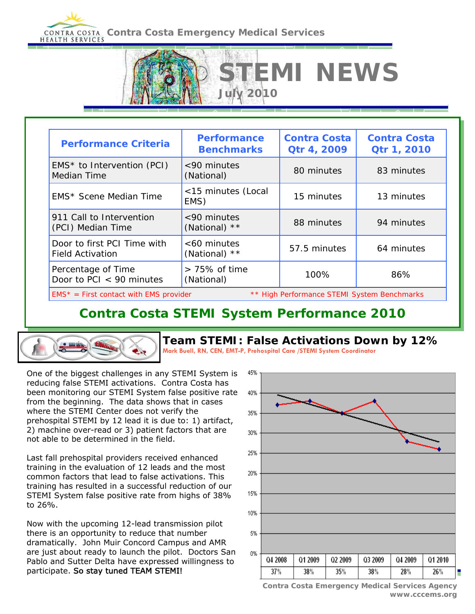# **CONTRA COSTA CONTRA Costa Emergency Medical Services**



## **Contra Costa STEMI System Performance 2010**



**Team STEMI: False Activations Down by 12%** 

**STEMI NEWS** 

**Mark Buell, RN, CEN, EMT-P, Prehospital Care /STEMI System Coordinator**

One of the biggest challenges in any STEMI System is reducing false STEMI activations. Contra Costa has been monitoring our STEMI System false positive rate from the beginning. The data shows that in cases where the STEMI Center does not verify the prehospital STEMI by 12 lead it is due to: 1) artifact, 2) machine over-read or 3) patient factors that are not able to be determined in the field.

Last fall prehospital providers received enhanced training in the evaluation of 12 leads and the most common factors that lead to false activations. This training has resulted in a successful reduction of our STEMI System false positive rate from highs of 38% to 26%.

Now with the upcoming 12-lead transmission pilot there is an opportunity to reduce that number dramatically. John Muir Concord Campus and AMR are just about ready to launch the pilot. Doctors San Pablo and Sutter Delta have expressed willingness to participate. So stay tuned TEAM STEMI!



**Contra Costa Emergency Medical Services Agency www.cccems.org**